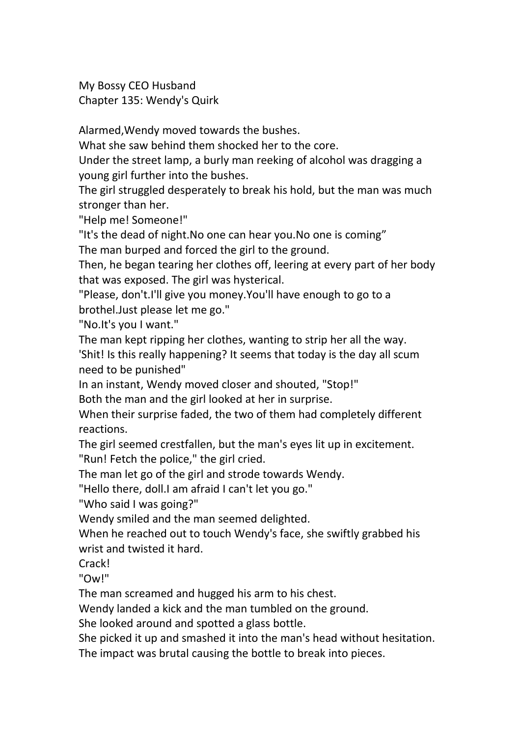My Bossy CEO Husband Chapter 135: Wendy's Quirk

Alarmed,Wendy moved towards the bushes.

What she saw behind them shocked her to the core.

Under the street lamp, a burly man reeking of alcohol was dragging a young girl further into the bushes.

The girl struggled desperately to break his hold, but the man was much stronger than her.

"Help me! Someone!"

"It's the dead of night.No one can hear you.No one is coming"

The man burped and forced the girl to the ground.

Then, he began tearing her clothes off, leering at every part of her body that was exposed. The girl was hysterical.

"Please, don't.I'll give you money.You'll have enough to go to a brothel.Just please let me go."

"No.It's you I want."

The man kept ripping her clothes, wanting to strip her all the way.

'Shit! Is this really happening? It seems that today is the day all scum need to be punished"

In an instant, Wendy moved closer and shouted, "Stop!"

Both the man and the girl looked at her in surprise.

When their surprise faded, the two of them had completely different reactions.

The girl seemed crestfallen, but the man's eyes lit up in excitement. "Run! Fetch the police," the girl cried.

The man let go of the girl and strode towards Wendy.

"Hello there, doll.I am afraid I can't let you go."

"Who said I was going?"

Wendy smiled and the man seemed delighted.

When he reached out to touch Wendy's face, she swiftly grabbed his wrist and twisted it hard.

Crack!

"Ow!"

The man screamed and hugged his arm to his chest.<br>Wendy landed a kick and the man tumbled on the ground.

She looked around and spotted a glass bottle.

She picked it up and smashed it into the man's head without hesitation.

The impact was brutal causing the bottle to break into pieces.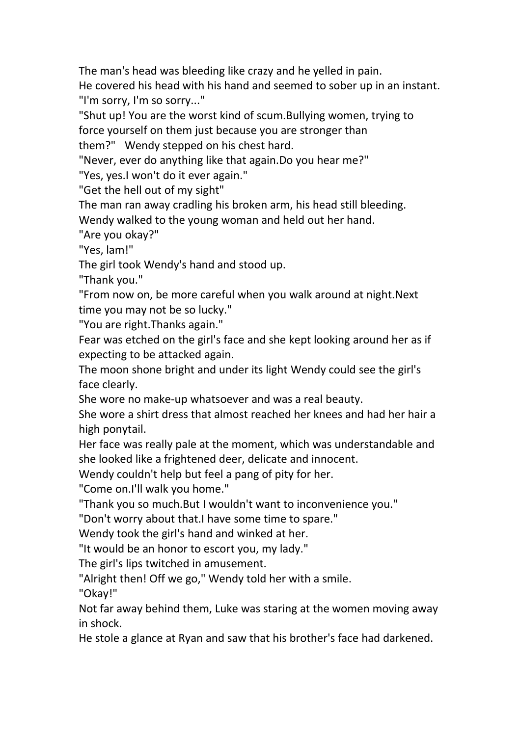The man's head was bleeding like crazy and he yelled in pain.

He covered his head with his hand and seemed to sober up in an instant. "I'm sorry, I'm so sorry..."

"Shut up! You are the worst kind of scum.Bullying women, trying to force yourself on them just because you are stronger than

them?" Wendy stepped on his chest hard.

"Never, ever do anything like that again.Do you hear me?"

"Yes, yes.I won't do it ever again."

"Get the hell out of my sight"

The man ran away cradling his broken arm, his head still bleeding.

Wendy walked to the young woman and held out her hand.

"Are you okay?"

"Yes, lam!"

The girl took Wendy's hand and stood up.

"Thank you."

"From now on, be more careful when you walk around at night.Next time you may not be so lucky."

"You are right.Thanks again."

Fear was etched on the girl's face and she kept looking around her as if expecting to be attacked again.

The moon shone bright and under its light Wendy could see the girl's face clearly.

She wore no make-up whatsoever and was a real beauty.

She wore a shirt dress that almost reached her knees and had her hair a high ponytail.

Her face was really pale at the moment, which was understandable and she looked like a frightened deer, delicate and innocent.

Wendy couldn't help but feel a pang of pity for her.

"Come on.I'll walk you home."

"Thank you so much.But I wouldn't want to inconvenience you."

"Don't worry about that.I have some time to spare."

Wendy took the girl's hand and winked at her.

"It would be an honor to escort you, my lady."

The girl's lips twitched in amusement.

"Alright then! Off we go," Wendy told her with a smile.

"Okay!"

Not far away behind them, Luke was staring at the women moving away in shock.

He stole a glance at Ryan and saw that his brother's face had darkened.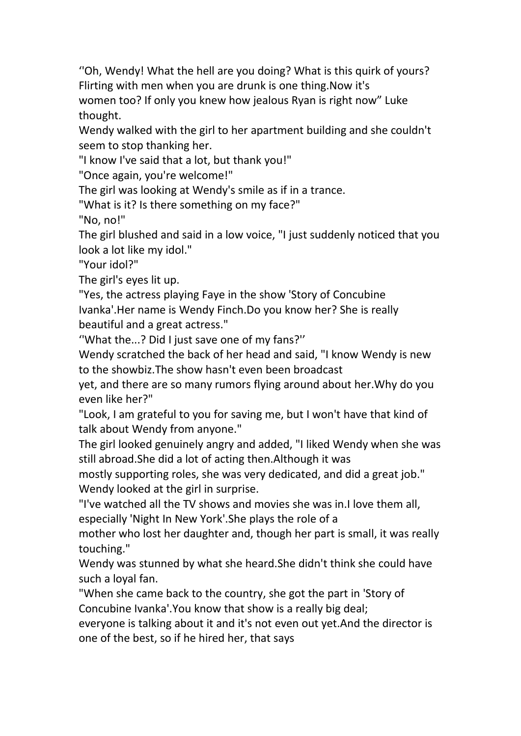"Oh, Wendy! What the hell are you doing? What is this quirk of yours? Flirting with men when you are drunk is one thing.Now it's women too? If only you knew how jealous Ryan is right now" Luke thought.

Wendy walked with the girl to her apartment building and she couldn't seem to stop thanking her.

"I know I've said that a lot, but thank you!"

"Once again, you're welcome!"

The girl was looking at Wendy's smile as if in a trance.

"What is it? Is there something on my face?"

"No, no!"

The girl blushed and said in a low voice, "I just suddenly noticed that you look a lot like my idol."

"Your idol?"

The girl's eyes lit up.<br>"Yes, the actress playing Faye in the show 'Story of Concubine Ivanka'.Her name is Wendy Finch.Do you know her? She is really beautiful and a great actress."

''What the...? Did I just save one of my fans?''

Wendy scratched the back of her head and said, "I know Wendy is new to the showbiz.The show hasn't even been broadcast

yet, and there are so many rumors flying around about her.Why do you even like her?"

"Look, I am grateful to you for saving me, but I won't have that kind of talk about Wendy from anyone."

The girl looked genuinely angry and added, "I liked Wendy when she was still abroad.She did a lot of acting then.Although it was

mostly supporting roles, she was very dedicated, and did a great job." Wendy looked at the girl in surprise.

"I've watched all the TV shows and movies she was in.I love them all, especially 'Night In New York'.She plays the role of a

mother who lost her daughter and, though her part is small, it was really touching."

Wendy was stunned by what she heard. She didn't think she could have such a loyal fan.

"When she came back to the country, she got the part in 'Story of Concubine Ivanka'.You know that show is a really big deal;

everyone is talking about it and it's not even out yet.And the director is one of the best, so if he hired her, that says